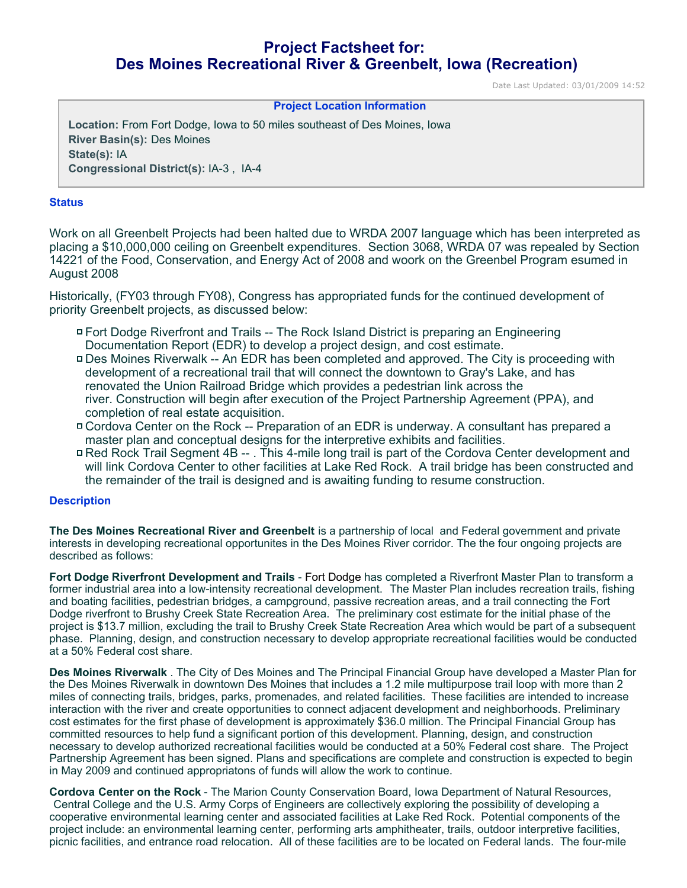# **Project Factsheet for: Des Moines Recreational River & Greenbelt, Iowa (Recreation)**

Date Last Updated: 03/01/2009 14:52

### **Project Location Information**

**Location:** From Fort Dodge, Iowa to 50 miles southeast of Des Moines, Iowa **River Basin(s):** Des Moines **State(s):** IA **Congressional District(s):** IA-3 , IA-4

#### **Status**

Work on all Greenbelt Projects had been halted due to WRDA 2007 language which has been interpreted as placing a \$10,000,000 ceiling on Greenbelt expenditures. Section 3068, WRDA 07 was repealed by Section 14221 of the Food, Conservation, and Energy Act of 2008 and woork on the Greenbel Program esumed in August 2008

Historically, (FY03 through FY08), Congress has appropriated funds for the continued development of priority Greenbelt projects, as discussed below:

- Fort Dodge Riverfront and Trails -- The Rock Island District is preparing an Engineering Documentation Report (EDR) to develop a project design, and cost estimate.
- Des Moines Riverwalk -- An EDR has been completed and approved. The City is proceeding with development of a recreational trail that will connect the downtown to Gray's Lake, and has renovated the Union Railroad Bridge which provides a pedestrian link across the river. Construction will begin after execution of the Project Partnership Agreement (PPA), and completion of real estate acquisition.
- Cordova Center on the Rock -- Preparation of an EDR is underway. A consultant has prepared a master plan and conceptual designs for the interpretive exhibits and facilities.
- Red Rock Trail Segment 4B -- . This 4-mile long trail is part of the Cordova Center development and will link Cordova Center to other facilities at Lake Red Rock. A trail bridge has been constructed and the remainder of the trail is designed and is awaiting funding to resume construction.

#### **Description**

**The Des Moines Recreational River and Greenbelt** is a partnership of local and Federal government and private interests in developing recreational opportunites in the Des Moines River corridor. The the four ongoing projects are described as follows:

**Fort Dodge Riverfront Development and Trails** - Fort Dodge has completed a Riverfront Master Plan to transform a former industrial area into a low-intensity recreational development. The Master Plan includes recreation trails, fishing and boating facilities, pedestrian bridges, a campground, passive recreation areas, and a trail connecting the Fort Dodge riverfront to Brushy Creek State Recreation Area. The preliminary cost estimate for the initial phase of the project is \$13.7 million, excluding the trail to Brushy Creek State Recreation Area which would be part of a subsequent phase. Planning, design, and construction necessary to develop appropriate recreational facilities would be conducted at a 50% Federal cost share.

**Des Moines Riverwalk** . The City of Des Moines and The Principal Financial Group have developed a Master Plan for the Des Moines Riverwalk in downtown Des Moines that includes a 1.2 mile multipurpose trail loop with more than 2 miles of connecting trails, bridges, parks, promenades, and related facilities. These facilities are intended to increase interaction with the river and create opportunities to connect adjacent development and neighborhoods. Preliminary cost estimates for the first phase of development is approximately \$36.0 million. The Principal Financial Group has committed resources to help fund a significant portion of this development. Planning, design, and construction necessary to develop authorized recreational facilities would be conducted at a 50% Federal cost share. The Project Partnership Agreement has been signed. Plans and specifications are complete and construction is expected to begin in May 2009 and continued appropriatons of funds will allow the work to continue.

**Cordova Center on the Rock** - The Marion County Conservation Board, Iowa Department of Natural Resources, Central College and the U.S. Army Corps of Engineers are collectively exploring the possibility of developing a cooperative environmental learning center and associated facilities at Lake Red Rock. Potential components of the project include: an environmental learning center, performing arts amphitheater, trails, outdoor interpretive facilities, picnic facilities, and entrance road relocation. All of these facilities are to be located on Federal lands. The four-mile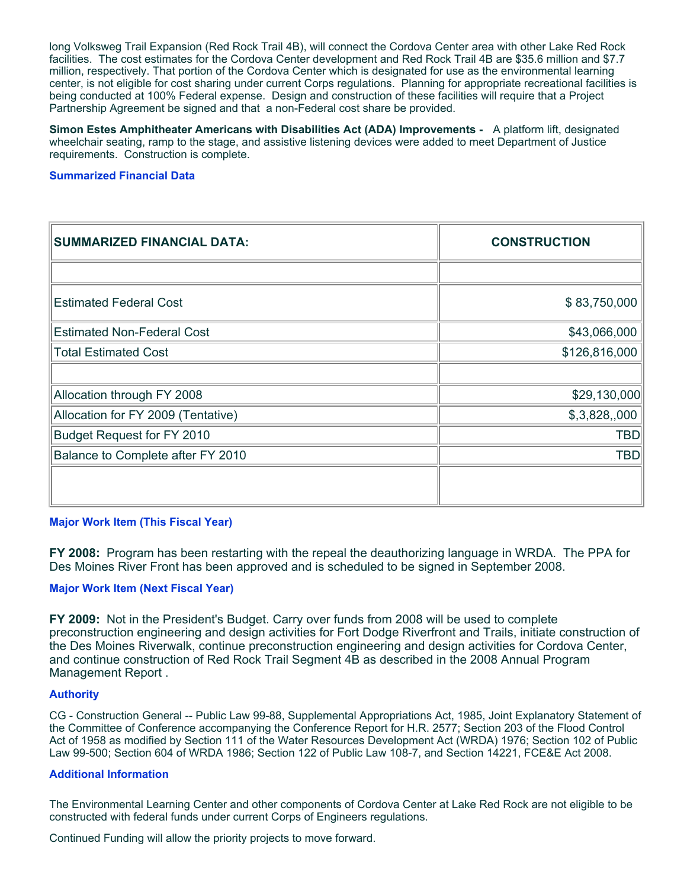long Volksweg Trail Expansion (Red Rock Trail 4B), will connect the Cordova Center area with other Lake Red Rock facilities. The cost estimates for the Cordova Center development and Red Rock Trail 4B are \$35.6 million and \$7.7 million, respectively. That portion of the Cordova Center which is designated for use as the environmental learning center, is not eligible for cost sharing under current Corps regulations. Planning for appropriate recreational facilities is being conducted at 100% Federal expense. Design and construction of these facilities will require that a Project Partnership Agreement be signed and that a non-Federal cost share be provided.

**Simon Estes Amphitheater Americans with Disabilities Act (ADA) Improvements -** A platform lift, designated wheelchair seating, ramp to the stage, and assistive listening devices were added to meet Department of Justice requirements. Construction is complete.

### **Summarized Financial Data**

| <b>SUMMARIZED FINANCIAL DATA:</b>  | <b>CONSTRUCTION</b> |
|------------------------------------|---------------------|
|                                    |                     |
| <b>Estimated Federal Cost</b>      | \$83,750,000        |
| <b>Estimated Non-Federal Cost</b>  | \$43,066,000        |
| <b>Total Estimated Cost</b>        | \$126,816,000       |
|                                    |                     |
| Allocation through FY 2008         | \$29,130,000        |
| Allocation for FY 2009 (Tentative) | \$,3,828,000        |
| Budget Request for FY 2010         | <b>TBD</b>          |
| Balance to Complete after FY 2010  | <b>TBD</b>          |
|                                    |                     |

### **Major Work Item (This Fiscal Year)**

**FY 2008:** Program has been restarting with the repeal the deauthorizing language in WRDA. The PPA for Des Moines River Front has been approved and is scheduled to be signed in September 2008.

### **Major Work Item (Next Fiscal Year)**

**FY 2009:** Not in the President's Budget. Carry over funds from 2008 will be used to complete preconstruction engineering and design activities for Fort Dodge Riverfront and Trails, initiate construction of the Des Moines Riverwalk, continue preconstruction engineering and design activities for Cordova Center, and continue construction of Red Rock Trail Segment 4B as described in the 2008 Annual Program Management Report .

### **Authority**

CG - Construction General -- Public Law 99-88, Supplemental Appropriations Act, 1985, Joint Explanatory Statement of the Committee of Conference accompanying the Conference Report for H.R. 2577; Section 203 of the Flood Control Act of 1958 as modified by Section 111 of the Water Resources Development Act (WRDA) 1976; Section 102 of Public Law 99-500; Section 604 of WRDA 1986; Section 122 of Public Law 108-7, and Section 14221, FCE&E Act 2008.

### **Additional Information**

The Environmental Learning Center and other components of Cordova Center at Lake Red Rock are not eligible to be constructed with federal funds under current Corps of Engineers regulations.

Continued Funding will allow the priority projects to move forward.